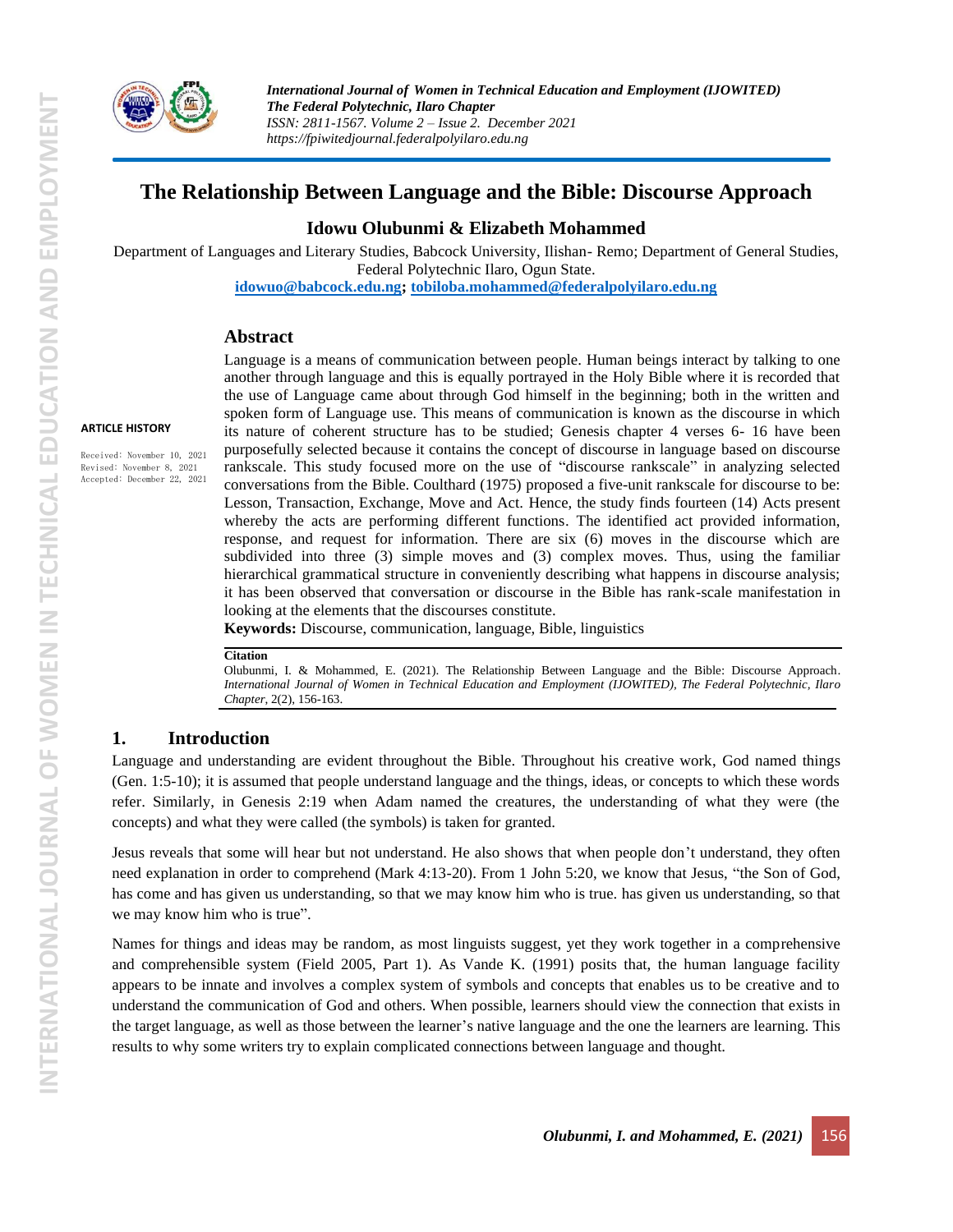

**ARTICLE HISTORY**

Received: November 10, 2021 Revised: November 8, 2021 Accepted: December 22, 2021 *International Journal of Women in Technical Education and Employment (IJOWITED) The Federal Polytechnic, Ilaro Chapter ISSN: 2811-1567. Volume 2 – Issue 2. December 2021 https://fpiwitedjournal.federalpolyilaro.edu.ng*

# **The Relationship Between Language and the Bible: Discourse Approach**

### **Idowu Olubunmi & Elizabeth Mohammed**

Department of Languages and Literary Studies, Babcock University, Ilishan- Remo; Department of General Studies, Federal Polytechnic Ilaro, Ogun State. **[idowuo@babcock.edu.ng;](mailto:idowuo@babcock.edu.ng) [tobiloba.mohammed@federalpolyilaro.edu.ng](mailto:tobiloba.mohammed@federalpolyilaro.edu.ng)**

### **Abstract**

Language is a means of communication between people. Human beings interact by talking to one another through language and this is equally portrayed in the Holy Bible where it is recorded that the use of Language came about through God himself in the beginning; both in the written and spoken form of Language use. This means of communication is known as the discourse in which its nature of coherent structure has to be studied; Genesis chapter 4 verses 6- 16 have been purposefully selected because it contains the concept of discourse in language based on discourse rankscale. This study focused more on the use of "discourse rankscale" in analyzing selected conversations from the Bible. Coulthard (1975) proposed a five-unit rankscale for discourse to be: Lesson, Transaction, Exchange, Move and Act. Hence, the study finds fourteen (14) Acts present whereby the acts are performing different functions. The identified act provided information, response, and request for information. There are six (6) moves in the discourse which are subdivided into three (3) simple moves and (3) complex moves. Thus, using the familiar hierarchical grammatical structure in conveniently describing what happens in discourse analysis; it has been observed that conversation or discourse in the Bible has rank-scale manifestation in looking at the elements that the discourses constitute.

**Keywords:** Discourse, communication, language, Bible, linguistics

#### **Citation**

Olubunmi, I. & Mohammed, E. (2021). The Relationship Between Language and the Bible: Discourse Approach. *International Journal of Women in Technical Education and Employment (IJOWITED), The Federal Polytechnic, Ilaro Chapter*, 2(2), 156-163.

### **1. Introduction**

Language and understanding are evident throughout the Bible. Throughout his creative work, God named things (Gen. 1:5-10); it is assumed that people understand language and the things, ideas, or concepts to which these words refer. Similarly, in Genesis 2:19 when Adam named the creatures, the understanding of what they were (the concepts) and what they were called (the symbols) is taken for granted.

Jesus reveals that some will hear but not understand. He also shows that when people don't understand, they often need explanation in order to comprehend (Mark 4:13-20). From 1 John 5:20, we know that Jesus, "the Son of God, has come and has given us understanding, so that we may know him who is true. has given us understanding, so that we may know him who is true".

Names for things and ideas may be random, as most linguists suggest, yet they work together in a comprehensive and comprehensible system (Field 2005, Part 1). As Vande K. (1991) posits that, the human language facility appears to be innate and involves a complex system of symbols and concepts that enables us to be creative and to understand the communication of God and others. When possible, learners should view the connection that exists in the target language, as well as those between the learner's native language and the one the learners are learning. This results to why some writers try to explain complicated connections between language and thought.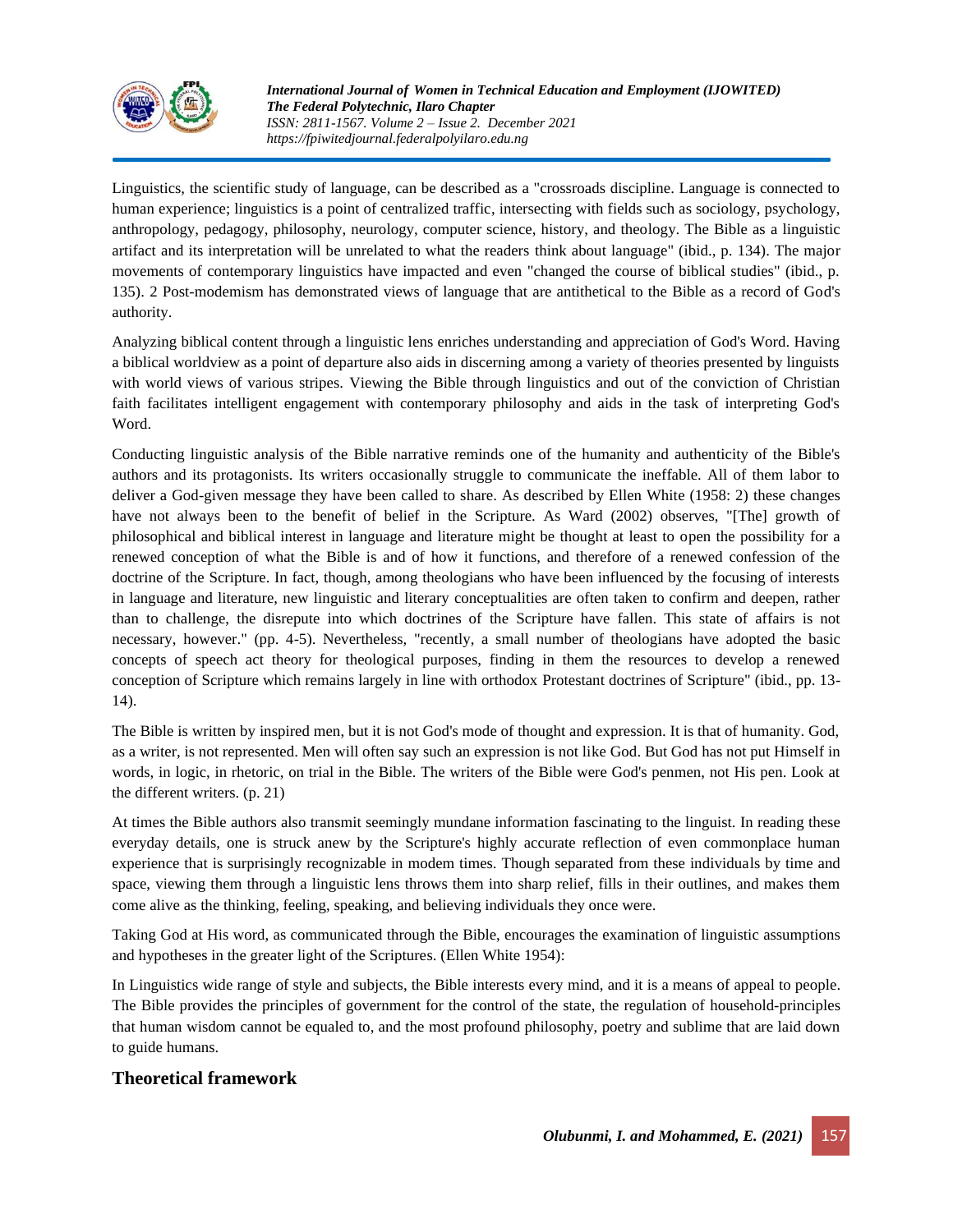

Linguistics, the scientific study of language, can be described as a "crossroads discipline. Language is connected to human experience; linguistics is a point of centralized traffic, intersecting with fields such as sociology, psychology, anthropology, pedagogy, philosophy, neurology, computer science, history, and theology. The Bible as a linguistic artifact and its interpretation will be unrelated to what the readers think about language" (ibid., p. 134). The major movements of contemporary linguistics have impacted and even "changed the course of biblical studies" (ibid., p. 135). 2 Post-modemism has demonstrated views of language that are antithetical to the Bible as a record of God's authority.

Analyzing biblical content through a linguistic lens enriches understanding and appreciation of God's Word. Having a biblical worldview as a point of departure also aids in discerning among a variety of theories presented by linguists with world views of various stripes. Viewing the Bible through linguistics and out of the conviction of Christian faith facilitates intelligent engagement with contemporary philosophy and aids in the task of interpreting God's Word.

Conducting linguistic analysis of the Bible narrative reminds one of the humanity and authenticity of the Bible's authors and its protagonists. Its writers occasionally struggle to communicate the ineffable. All of them labor to deliver a God-given message they have been called to share. As described by Ellen White (1958: 2) these changes have not always been to the benefit of belief in the Scripture. As Ward (2002) observes, "[The] growth of philosophical and biblical interest in language and literature might be thought at least to open the possibility for a renewed conception of what the Bible is and of how it functions, and therefore of a renewed confession of the doctrine of the Scripture. In fact, though, among theologians who have been influenced by the focusing of interests in language and literature, new linguistic and literary conceptualities are often taken to confirm and deepen, rather than to challenge, the disrepute into which doctrines of the Scripture have fallen. This state of affairs is not necessary, however." (pp. 4-5). Nevertheless, "recently, a small number of theologians have adopted the basic concepts of speech act theory for theological purposes, finding in them the resources to develop a renewed conception of Scripture which remains largely in line with orthodox Protestant doctrines of Scripture" (ibid., pp. 13- 14).

The Bible is written by inspired men, but it is not God's mode of thought and expression. It is that of humanity. God, as a writer, is not represented. Men will often say such an expression is not like God. But God has not put Himself in words, in logic, in rhetoric, on trial in the Bible. The writers of the Bible were God's penmen, not His pen. Look at the different writers. (p. 21)

At times the Bible authors also transmit seemingly mundane information fascinating to the linguist. In reading these everyday details, one is struck anew by the Scripture's highly accurate reflection of even commonplace human experience that is surprisingly recognizable in modem times. Though separated from these individuals by time and space, viewing them through a linguistic lens throws them into sharp relief, fills in their outlines, and makes them come alive as the thinking, feeling, speaking, and believing individuals they once were.

Taking God at His word, as communicated through the Bible, encourages the examination of linguistic assumptions and hypotheses in the greater light of the Scriptures. (Ellen White 1954):

In Linguistics wide range of style and subjects, the Bible interests every mind, and it is a means of appeal to people. The Bible provides the principles of government for the control of the state, the regulation of household-principles that human wisdom cannot be equaled to, and the most profound philosophy, poetry and sublime that are laid down to guide humans.

# **Theoretical framework**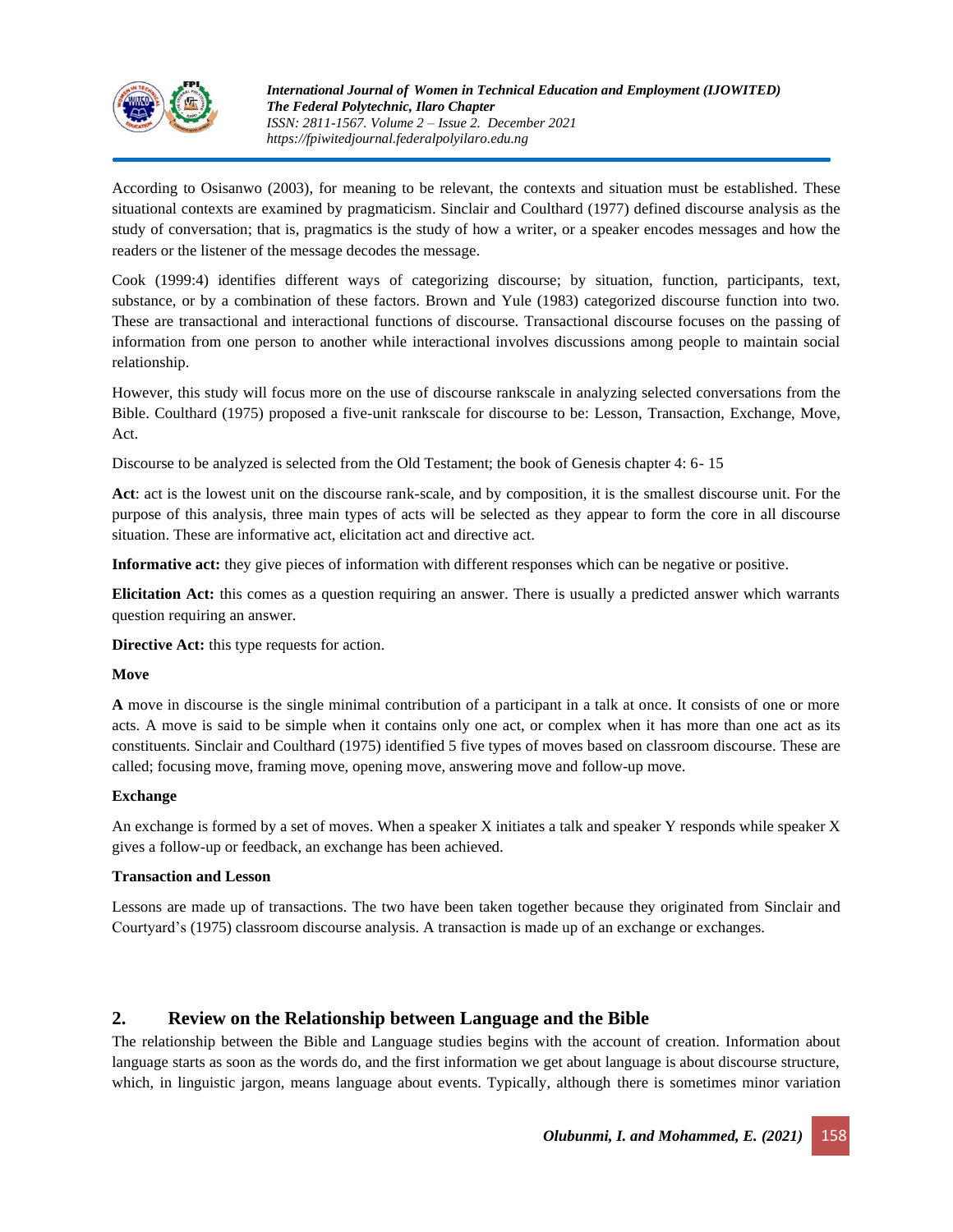

According to Osisanwo (2003), for meaning to be relevant, the contexts and situation must be established. These situational contexts are examined by pragmaticism. Sinclair and Coulthard (1977) defined discourse analysis as the study of conversation; that is, pragmatics is the study of how a writer, or a speaker encodes messages and how the readers or the listener of the message decodes the message.

Cook (1999:4) identifies different ways of categorizing discourse; by situation, function, participants, text, substance, or by a combination of these factors. Brown and Yule (1983) categorized discourse function into two. These are transactional and interactional functions of discourse. Transactional discourse focuses on the passing of information from one person to another while interactional involves discussions among people to maintain social relationship.

However, this study will focus more on the use of discourse rankscale in analyzing selected conversations from the Bible. Coulthard (1975) proposed a five-unit rankscale for discourse to be: Lesson, Transaction, Exchange, Move, Act.

Discourse to be analyzed is selected from the Old Testament; the book of Genesis chapter 4: 6- 15

**Act**: act is the lowest unit on the discourse rank-scale, and by composition, it is the smallest discourse unit. For the purpose of this analysis, three main types of acts will be selected as they appear to form the core in all discourse situation. These are informative act, elicitation act and directive act.

**Informative act:** they give pieces of information with different responses which can be negative or positive.

**Elicitation Act:** this comes as a question requiring an answer. There is usually a predicted answer which warrants question requiring an answer.

**Directive Act:** this type requests for action.

#### **Move**

**A** move in discourse is the single minimal contribution of a participant in a talk at once. It consists of one or more acts. A move is said to be simple when it contains only one act, or complex when it has more than one act as its constituents. Sinclair and Coulthard (1975) identified 5 five types of moves based on classroom discourse. These are called; focusing move, framing move, opening move, answering move and follow-up move.

#### **Exchange**

An exchange is formed by a set of moves. When a speaker X initiates a talk and speaker Y responds while speaker X gives a follow-up or feedback, an exchange has been achieved.

#### **Transaction and Lesson**

Lessons are made up of transactions. The two have been taken together because they originated from Sinclair and Courtyard's (1975) classroom discourse analysis. A transaction is made up of an exchange or exchanges.

# **2. Review on the Relationship between Language and the Bible**

The relationship between the Bible and Language studies begins with the account of creation. Information about language starts as soon as the words do, and the first information we get about language is about discourse structure, which, in linguistic jargon, means language about events. Typically, although there is sometimes minor variation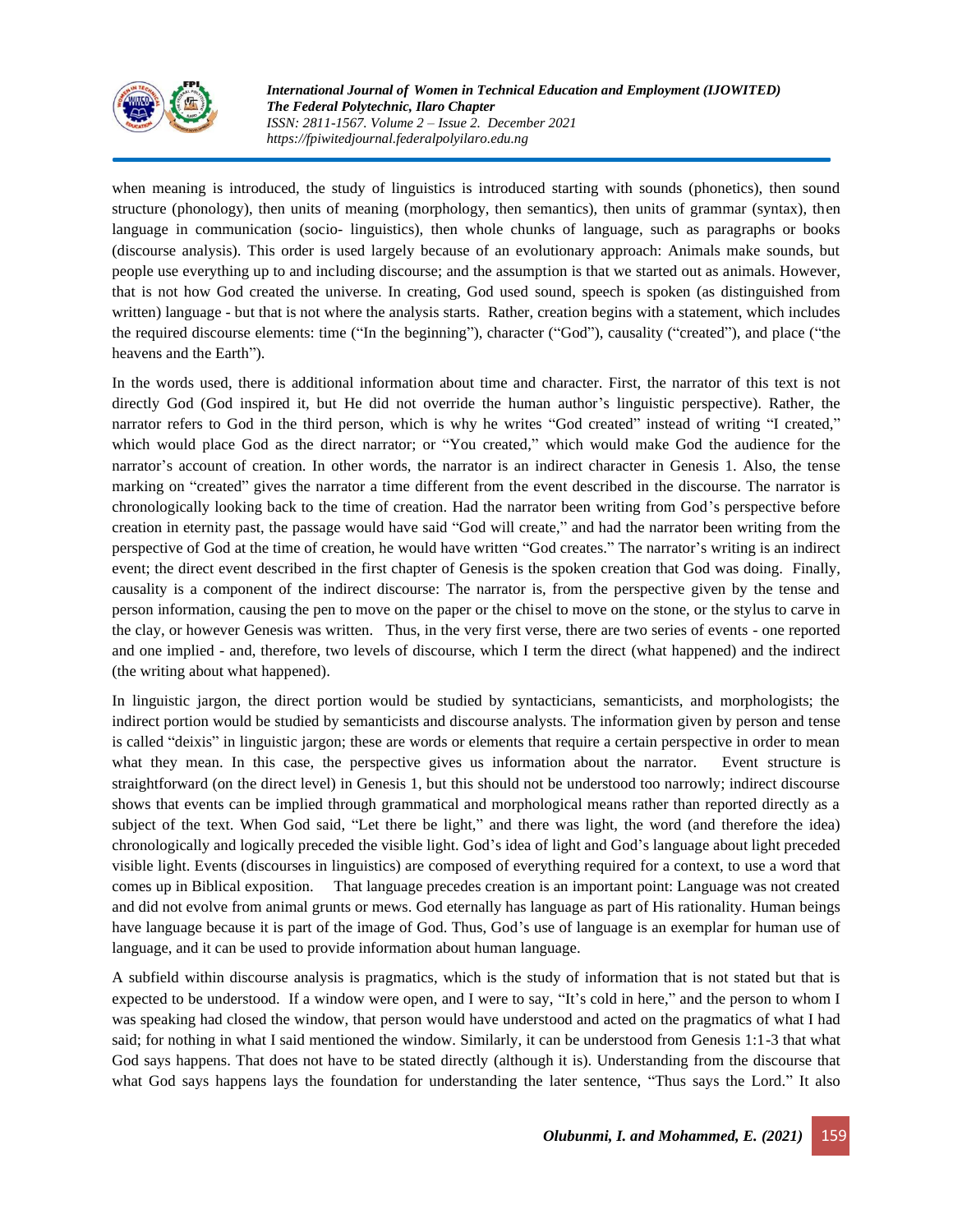

when meaning is introduced, the study of linguistics is introduced starting with sounds (phonetics), then sound structure (phonology), then units of meaning (morphology, then semantics), then units of grammar (syntax), then language in communication (socio- linguistics), then whole chunks of language, such as paragraphs or books (discourse analysis). This order is used largely because of an evolutionary approach: Animals make sounds, but people use everything up to and including discourse; and the assumption is that we started out as animals. However, that is not how God created the universe. In creating, God used sound, speech is spoken (as distinguished from written) language - but that is not where the analysis starts. Rather, creation begins with a statement, which includes the required discourse elements: time ("In the beginning"), character ("God"), causality ("created"), and place ("the heavens and the Earth").

In the words used, there is additional information about time and character. First, the narrator of this text is not directly God (God inspired it, but He did not override the human author's linguistic perspective). Rather, the narrator refers to God in the third person, which is why he writes "God created" instead of writing "I created," which would place God as the direct narrator; or "You created," which would make God the audience for the narrator's account of creation. In other words, the narrator is an indirect character in Genesis 1. Also, the tense marking on "created" gives the narrator a time different from the event described in the discourse. The narrator is chronologically looking back to the time of creation. Had the narrator been writing from God's perspective before creation in eternity past, the passage would have said "God will create," and had the narrator been writing from the perspective of God at the time of creation, he would have written "God creates." The narrator's writing is an indirect event; the direct event described in the first chapter of Genesis is the spoken creation that God was doing. Finally, causality is a component of the indirect discourse: The narrator is, from the perspective given by the tense and person information, causing the pen to move on the paper or the chisel to move on the stone, or the stylus to carve in the clay, or however Genesis was written. Thus, in the very first verse, there are two series of events - one reported and one implied - and, therefore, two levels of discourse, which I term the direct (what happened) and the indirect (the writing about what happened).

In linguistic jargon, the direct portion would be studied by syntacticians, semanticists, and morphologists; the indirect portion would be studied by semanticists and discourse analysts. The information given by person and tense is called "deixis" in linguistic jargon; these are words or elements that require a certain perspective in order to mean what they mean. In this case, the perspective gives us information about the narrator. Event structure is straightforward (on the direct level) in Genesis 1, but this should not be understood too narrowly; indirect discourse shows that events can be implied through grammatical and morphological means rather than reported directly as a subject of the text. When God said, "Let there be light," and there was light, the word (and therefore the idea) chronologically and logically preceded the visible light. God's idea of light and God's language about light preceded visible light. Events (discourses in linguistics) are composed of everything required for a context, to use a word that comes up in Biblical exposition. That language precedes creation is an important point: Language was not created and did not evolve from animal grunts or mews. God eternally has language as part of His rationality. Human beings have language because it is part of the image of God. Thus, God's use of language is an exemplar for human use of language, and it can be used to provide information about human language.

A subfield within discourse analysis is pragmatics, which is the study of information that is not stated but that is expected to be understood. If a window were open, and I were to say, "It's cold in here," and the person to whom I was speaking had closed the window, that person would have understood and acted on the pragmatics of what I had said; for nothing in what I said mentioned the window. Similarly, it can be understood from Genesis 1:1-3 that what God says happens. That does not have to be stated directly (although it is). Understanding from the discourse that what God says happens lays the foundation for understanding the later sentence, "Thus says the Lord." It also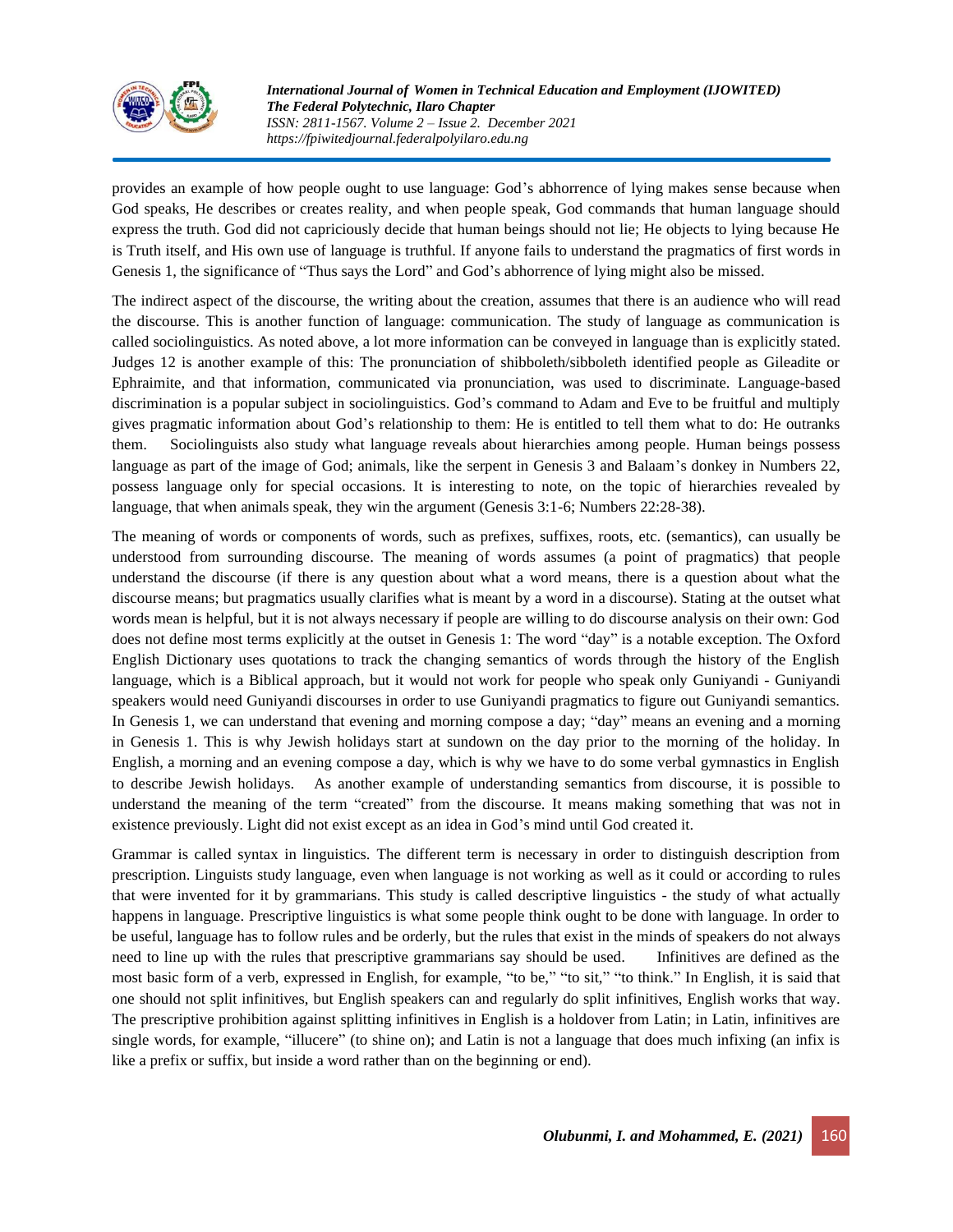

provides an example of how people ought to use language: God's abhorrence of lying makes sense because when God speaks, He describes or creates reality, and when people speak, God commands that human language should express the truth. God did not capriciously decide that human beings should not lie; He objects to lying because He is Truth itself, and His own use of language is truthful. If anyone fails to understand the pragmatics of first words in Genesis 1, the significance of "Thus says the Lord" and God's abhorrence of lying might also be missed.

The indirect aspect of the discourse, the writing about the creation, assumes that there is an audience who will read the discourse. This is another function of language: communication. The study of language as communication is called sociolinguistics. As noted above, a lot more information can be conveyed in language than is explicitly stated. Judges 12 is another example of this: The pronunciation of shibboleth/sibboleth identified people as Gileadite or Ephraimite, and that information, communicated via pronunciation, was used to discriminate. Language-based discrimination is a popular subject in sociolinguistics. God's command to Adam and Eve to be fruitful and multiply gives pragmatic information about God's relationship to them: He is entitled to tell them what to do: He outranks them. Sociolinguists also study what language reveals about hierarchies among people. Human beings possess language as part of the image of God; animals, like the serpent in Genesis 3 and Balaam's donkey in Numbers 22, possess language only for special occasions. It is interesting to note, on the topic of hierarchies revealed by language, that when animals speak, they win the argument (Genesis 3:1-6; Numbers 22:28-38).

The meaning of words or components of words, such as prefixes, suffixes, roots, etc. (semantics), can usually be understood from surrounding discourse. The meaning of words assumes (a point of pragmatics) that people understand the discourse (if there is any question about what a word means, there is a question about what the discourse means; but pragmatics usually clarifies what is meant by a word in a discourse). Stating at the outset what words mean is helpful, but it is not always necessary if people are willing to do discourse analysis on their own: God does not define most terms explicitly at the outset in Genesis 1: The word "day" is a notable exception. The Oxford English Dictionary uses quotations to track the changing semantics of words through the history of the English language, which is a Biblical approach, but it would not work for people who speak only Guniyandi - Guniyandi speakers would need Guniyandi discourses in order to use Guniyandi pragmatics to figure out Guniyandi semantics. In Genesis 1, we can understand that evening and morning compose a day; "day" means an evening and a morning in Genesis 1. This is why Jewish holidays start at sundown on the day prior to the morning of the holiday. In English, a morning and an evening compose a day, which is why we have to do some verbal gymnastics in English to describe Jewish holidays. As another example of understanding semantics from discourse, it is possible to understand the meaning of the term "created" from the discourse. It means making something that was not in existence previously. Light did not exist except as an idea in God's mind until God created it.

Grammar is called syntax in linguistics. The different term is necessary in order to distinguish description from prescription. Linguists study language, even when language is not working as well as it could or according to rules that were invented for it by grammarians. This study is called descriptive linguistics - the study of what actually happens in language. Prescriptive linguistics is what some people think ought to be done with language. In order to be useful, language has to follow rules and be orderly, but the rules that exist in the minds of speakers do not always need to line up with the rules that prescriptive grammarians say should be used. Infinitives are defined as the most basic form of a verb, expressed in English, for example, "to be," "to sit," "to think." In English, it is said that one should not split infinitives, but English speakers can and regularly do split infinitives, English works that way. The prescriptive prohibition against splitting infinitives in English is a holdover from Latin; in Latin, infinitives are single words, for example, "illucere" (to shine on); and Latin is not a language that does much infixing (an infix is like a prefix or suffix, but inside a word rather than on the beginning or end).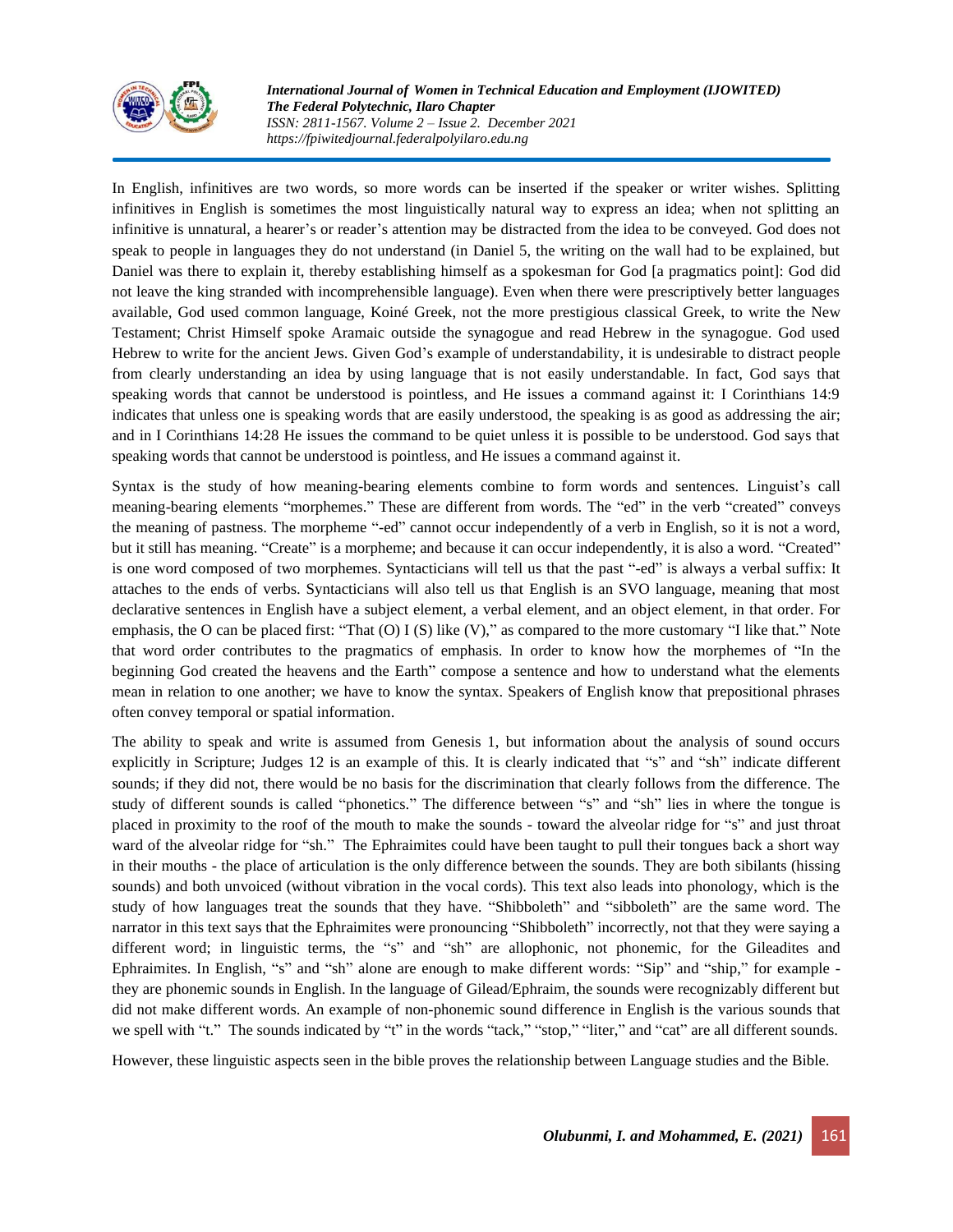

In English, infinitives are two words, so more words can be inserted if the speaker or writer wishes. Splitting infinitives in English is sometimes the most linguistically natural way to express an idea; when not splitting an infinitive is unnatural, a hearer's or reader's attention may be distracted from the idea to be conveyed. God does not speak to people in languages they do not understand (in Daniel 5, the writing on the wall had to be explained, but Daniel was there to explain it, thereby establishing himself as a spokesman for God [a pragmatics point]: God did not leave the king stranded with incomprehensible language). Even when there were prescriptively better languages available, God used common language, Koiné Greek, not the more prestigious classical Greek, to write the New Testament; Christ Himself spoke Aramaic outside the synagogue and read Hebrew in the synagogue. God used Hebrew to write for the ancient Jews. Given God's example of understandability, it is undesirable to distract people from clearly understanding an idea by using language that is not easily understandable. In fact, God says that speaking words that cannot be understood is pointless, and He issues a command against it: I Corinthians 14:9 indicates that unless one is speaking words that are easily understood, the speaking is as good as addressing the air; and in I Corinthians 14:28 He issues the command to be quiet unless it is possible to be understood. God says that speaking words that cannot be understood is pointless, and He issues a command against it.

Syntax is the study of how meaning-bearing elements combine to form words and sentences. Linguist's call meaning-bearing elements "morphemes." These are different from words. The "ed" in the verb "created" conveys the meaning of pastness. The morpheme "-ed" cannot occur independently of a verb in English, so it is not a word, but it still has meaning. "Create" is a morpheme; and because it can occur independently, it is also a word. "Created" is one word composed of two morphemes. Syntacticians will tell us that the past "-ed" is always a verbal suffix: It attaches to the ends of verbs. Syntacticians will also tell us that English is an SVO language, meaning that most declarative sentences in English have a subject element, a verbal element, and an object element, in that order. For emphasis, the O can be placed first: "That (O) I (S) like (V)," as compared to the more customary "I like that." Note that word order contributes to the pragmatics of emphasis. In order to know how the morphemes of "In the beginning God created the heavens and the Earth" compose a sentence and how to understand what the elements mean in relation to one another; we have to know the syntax. Speakers of English know that prepositional phrases often convey temporal or spatial information.

The ability to speak and write is assumed from Genesis 1, but information about the analysis of sound occurs explicitly in Scripture; Judges 12 is an example of this. It is clearly indicated that "s" and "sh" indicate different sounds; if they did not, there would be no basis for the discrimination that clearly follows from the difference. The study of different sounds is called "phonetics." The difference between "s" and "sh" lies in where the tongue is placed in proximity to the roof of the mouth to make the sounds - toward the alveolar ridge for "s" and just throat ward of the alveolar ridge for "sh." The Ephraimites could have been taught to pull their tongues back a short way in their mouths - the place of articulation is the only difference between the sounds. They are both sibilants (hissing sounds) and both unvoiced (without vibration in the vocal cords). This text also leads into phonology, which is the study of how languages treat the sounds that they have. "Shibboleth" and "sibboleth" are the same word. The narrator in this text says that the Ephraimites were pronouncing "Shibboleth" incorrectly, not that they were saying a different word; in linguistic terms, the "s" and "sh" are allophonic, not phonemic, for the Gileadites and Ephraimites. In English, "s" and "sh" alone are enough to make different words: "Sip" and "ship," for example they are phonemic sounds in English. In the language of Gilead/Ephraim, the sounds were recognizably different but did not make different words. An example of non-phonemic sound difference in English is the various sounds that we spell with "t." The sounds indicated by "t" in the words "tack," "stop," "liter," and "cat" are all different sounds.

However, these linguistic aspects seen in the bible proves the relationship between Language studies and the Bible.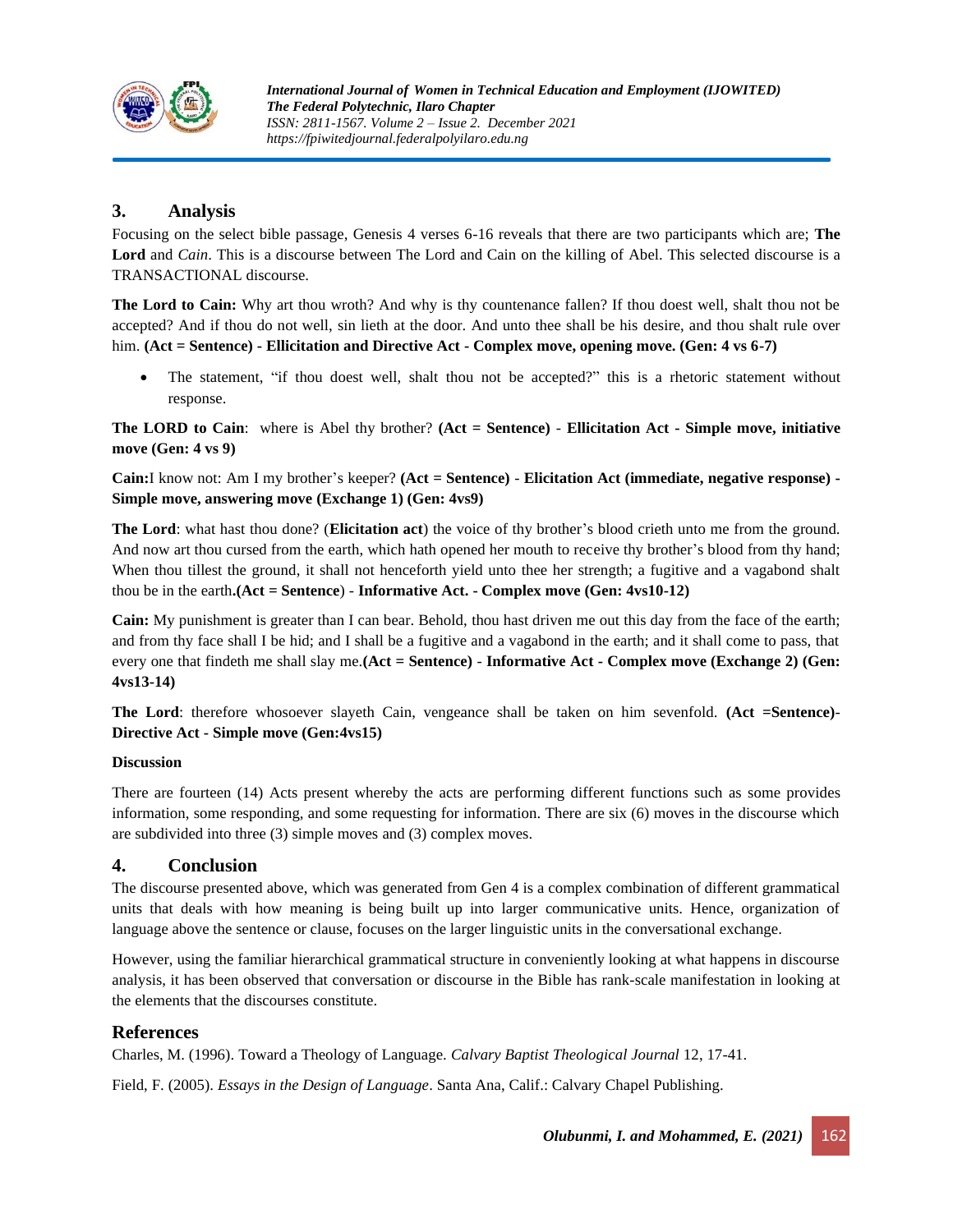

# **3. Analysis**

Focusing on the select bible passage, Genesis 4 verses 6-16 reveals that there are two participants which are; **The Lord** and *Cain*. This is a discourse between The Lord and Cain on the killing of Abel. This selected discourse is a TRANSACTIONAL discourse.

**The Lord to Cain:** Why art thou wroth? And why is thy countenance fallen? If thou doest well, shalt thou not be accepted? And if thou do not well, sin lieth at the door. And unto thee shall be his desire, and thou shalt rule over him. **(Act = Sentence) - Ellicitation and Directive Act - Complex move, opening move. (Gen: 4 vs 6-7)**

The statement, "if thou doest well, shalt thou not be accepted?" this is a rhetoric statement without response.

**The LORD to Cain**: where is Abel thy brother? **(Act = Sentence)** - **Ellicitation Act - Simple move, initiative move (Gen: 4 vs 9)**

**Cain:**I know not: Am I my brother's keeper? **(Act = Sentence)** - **Elicitation Act (immediate, negative response) - Simple move, answering move (Exchange 1) (Gen: 4vs9)**

**The Lord**: what hast thou done? (**Elicitation act**) the voice of thy brother's blood crieth unto me from the ground. And now art thou cursed from the earth, which hath opened her mouth to receive thy brother's blood from thy hand; When thou tillest the ground, it shall not henceforth yield unto thee her strength; a fugitive and a vagabond shalt thou be in the earth**.(Act = Sentence**) - **Informative Act. - Complex move (Gen: 4vs10-12)**

**Cain:** My punishment is greater than I can bear. Behold, thou hast driven me out this day from the face of the earth; and from thy face shall I be hid; and I shall be a fugitive and a vagabond in the earth; and it shall come to pass, that every one that findeth me shall slay me.**(Act = Sentence)** - **Informative Act - Complex move (Exchange 2) (Gen: 4vs13-14)**

**The Lord**: therefore whosoever slayeth Cain, vengeance shall be taken on him sevenfold. **(Act =Sentence)**- **Directive Act - Simple move (Gen:4vs15)**

#### **Discussion**

There are fourteen (14) Acts present whereby the acts are performing different functions such as some provides information, some responding, and some requesting for information. There are six (6) moves in the discourse which are subdivided into three (3) simple moves and (3) complex moves.

# **4. Conclusion**

The discourse presented above, which was generated from Gen 4 is a complex combination of different grammatical units that deals with how meaning is being built up into larger communicative units. Hence, organization of language above the sentence or clause, focuses on the larger linguistic units in the conversational exchange.

However, using the familiar hierarchical grammatical structure in conveniently looking at what happens in discourse analysis, it has been observed that conversation or discourse in the Bible has rank-scale manifestation in looking at the elements that the discourses constitute.

# **References**

Charles, M. (1996). Toward a Theology of Language. *Calvary Baptist Theological Journal* 12, 17-41.

Field, F. (2005). *Essays in the Design of Language*. Santa Ana, Calif.: Calvary Chapel Publishing.